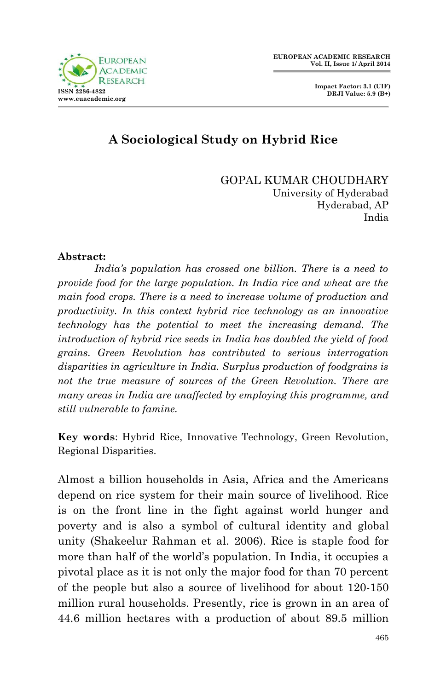

## **A Sociological Study on Hybrid Rice**

GOPAL KUMAR CHOUDHARY University of Hyderabad Hyderabad, AP India

#### **Abstract:**

*India's population has crossed one billion. There is a need to provide food for the large population. In India rice and wheat are the main food crops. There is a need to increase volume of production and productivity. In this context hybrid rice technology as an innovative technology has the potential to meet the increasing demand. The introduction of hybrid rice seeds in India has doubled the yield of food grains. Green Revolution has contributed to serious interrogation disparities in agriculture in India. Surplus production of foodgrains is not the true measure of sources of the Green Revolution. There are many areas in India are unaffected by employing this programme, and still vulnerable to famine.*

**Key words**: Hybrid Rice, Innovative Technology, Green Revolution, Regional Disparities.

Almost a billion households in Asia, Africa and the Americans depend on rice system for their main source of livelihood. Rice is on the front line in the fight against world hunger and poverty and is also a symbol of cultural identity and global unity (Shakeelur Rahman et al. 2006). Rice is staple food for more than half of the world's population. In India, it occupies a pivotal place as it is not only the major food for than 70 percent of the people but also a source of livelihood for about 120-150 million rural households. Presently, rice is grown in an area of 44.6 million hectares with a production of about 89.5 million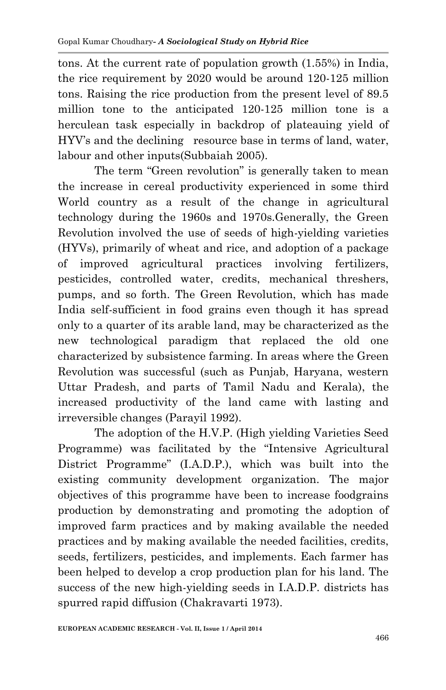tons. At the current rate of population growth (1.55%) in India, the rice requirement by 2020 would be around 120-125 million tons. Raising the rice production from the present level of 89.5 million tone to the anticipated 120-125 million tone is a herculean task especially in backdrop of plateauing yield of HYV's and the declining resource base in terms of land, water, labour and other inputs(Subbaiah 2005).

The term "Green revolution" is generally taken to mean the increase in cereal productivity experienced in some third World country as a result of the change in agricultural technology during the 1960s and 1970s.Generally, the Green Revolution involved the use of seeds of high-yielding varieties (HYVs), primarily of wheat and rice, and adoption of a package of improved agricultural practices involving fertilizers, pesticides, controlled water, credits, mechanical threshers, pumps, and so forth. The Green Revolution, which has made India self-sufficient in food grains even though it has spread only to a quarter of its arable land, may be characterized as the new technological paradigm that replaced the old one characterized by subsistence farming. In areas where the Green Revolution was successful (such as Punjab, Haryana, western Uttar Pradesh, and parts of Tamil Nadu and Kerala), the increased productivity of the land came with lasting and irreversible changes (Parayil 1992).

The adoption of the H.V.P. (High yielding Varieties Seed Programme) was facilitated by the "Intensive Agricultural District Programme" (I.A.D.P.), which was built into the existing community development organization. The major objectives of this programme have been to increase foodgrains production by demonstrating and promoting the adoption of improved farm practices and by making available the needed practices and by making available the needed facilities, credits, seeds, fertilizers, pesticides, and implements. Each farmer has been helped to develop a crop production plan for his land. The success of the new high-yielding seeds in I.A.D.P. districts has spurred rapid diffusion (Chakravarti 1973).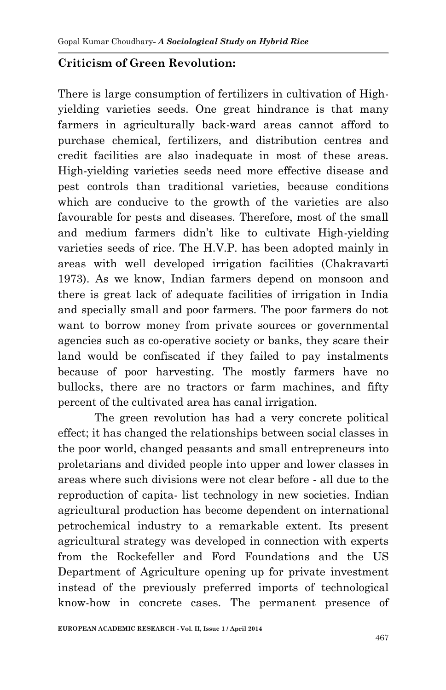#### **Criticism of Green Revolution:**

There is large consumption of fertilizers in cultivation of Highyielding varieties seeds. One great hindrance is that many farmers in agriculturally back-ward areas cannot afford to purchase chemical, fertilizers, and distribution centres and credit facilities are also inadequate in most of these areas. High-yielding varieties seeds need more effective disease and pest controls than traditional varieties, because conditions which are conducive to the growth of the varieties are also favourable for pests and diseases. Therefore, most of the small and medium farmers didn't like to cultivate High-yielding varieties seeds of rice. The H.V.P. has been adopted mainly in areas with well developed irrigation facilities (Chakravarti 1973). As we know, Indian farmers depend on monsoon and there is great lack of adequate facilities of irrigation in India and specially small and poor farmers. The poor farmers do not want to borrow money from private sources or governmental agencies such as co-operative society or banks, they scare their land would be confiscated if they failed to pay instalments because of poor harvesting. The mostly farmers have no bullocks, there are no tractors or farm machines, and fifty percent of the cultivated area has canal irrigation.

The green revolution has had a very concrete political effect; it has changed the relationships between social classes in the poor world, changed peasants and small entrepreneurs into proletarians and divided people into upper and lower classes in areas where such divisions were not clear before - all due to the reproduction of capita- list technology in new societies. Indian agricultural production has become dependent on international petrochemical industry to a remarkable extent. Its present agricultural strategy was developed in connection with experts from the Rockefeller and Ford Foundations and the US Department of Agriculture opening up for private investment instead of the previously preferred imports of technological know-how in concrete cases. The permanent presence of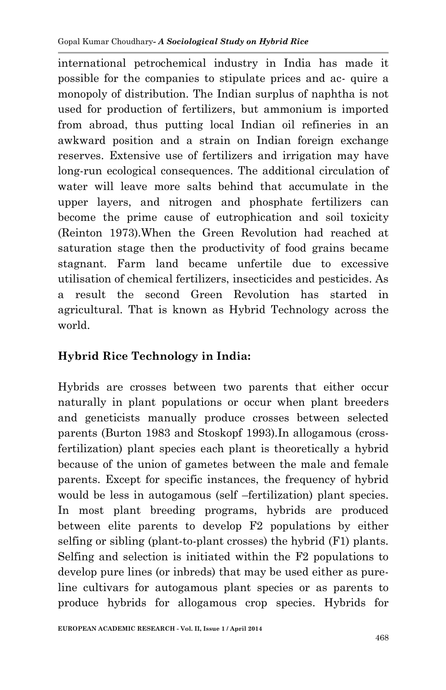international petrochemical industry in India has made it possible for the companies to stipulate prices and ac- quire a monopoly of distribution. The Indian surplus of naphtha is not used for production of fertilizers, but ammonium is imported from abroad, thus putting local Indian oil refineries in an awkward position and a strain on Indian foreign exchange reserves. Extensive use of fertilizers and irrigation may have long-run ecological consequences. The additional circulation of water will leave more salts behind that accumulate in the upper layers, and nitrogen and phosphate fertilizers can become the prime cause of eutrophication and soil toxicity (Reinton 1973).When the Green Revolution had reached at saturation stage then the productivity of food grains became stagnant. Farm land became unfertile due to excessive utilisation of chemical fertilizers, insecticides and pesticides. As a result the second Green Revolution has started in agricultural. That is known as Hybrid Technology across the world.

### **Hybrid Rice Technology in India:**

Hybrids are crosses between two parents that either occur naturally in plant populations or occur when plant breeders and geneticists manually produce crosses between selected parents (Burton 1983 and Stoskopf 1993).In allogamous (crossfertilization) plant species each plant is theoretically a hybrid because of the union of gametes between the male and female parents. Except for specific instances, the frequency of hybrid would be less in autogamous (self –fertilization) plant species. In most plant breeding programs, hybrids are produced between elite parents to develop F2 populations by either selfing or sibling (plant-to-plant crosses) the hybrid (F1) plants. Selfing and selection is initiated within the F2 populations to develop pure lines (or inbreds) that may be used either as pureline cultivars for autogamous plant species or as parents to produce hybrids for allogamous crop species. Hybrids for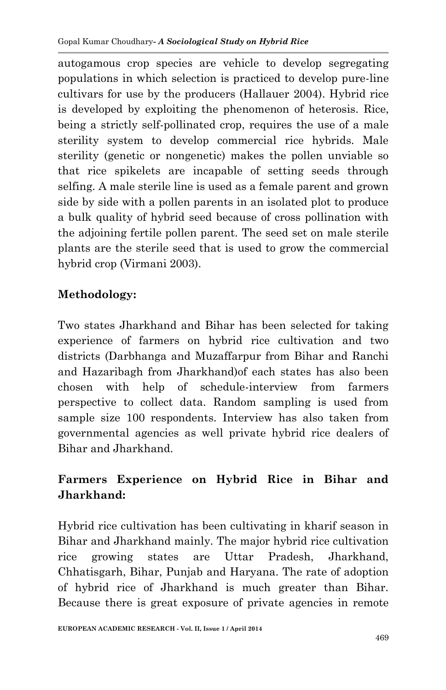autogamous crop species are vehicle to develop segregating populations in which selection is practiced to develop pure-line cultivars for use by the producers (Hallauer 2004). Hybrid rice is developed by exploiting the phenomenon of heterosis. Rice, being a strictly self-pollinated crop, requires the use of a male sterility system to develop commercial rice hybrids. Male sterility (genetic or nongenetic) makes the pollen unviable so that rice spikelets are incapable of setting seeds through selfing. A male sterile line is used as a female parent and grown side by side with a pollen parents in an isolated plot to produce a bulk quality of hybrid seed because of cross pollination with the adjoining fertile pollen parent. The seed set on male sterile plants are the sterile seed that is used to grow the commercial hybrid crop (Virmani 2003).

### **Methodology:**

Two states Jharkhand and Bihar has been selected for taking experience of farmers on hybrid rice cultivation and two districts (Darbhanga and Muzaffarpur from Bihar and Ranchi and Hazaribagh from Jharkhand)of each states has also been chosen with help of schedule-interview from farmers perspective to collect data. Random sampling is used from sample size 100 respondents. Interview has also taken from governmental agencies as well private hybrid rice dealers of Bihar and Jharkhand.

# **Farmers Experience on Hybrid Rice in Bihar and Jharkhand:**

Hybrid rice cultivation has been cultivating in kharif season in Bihar and Jharkhand mainly. The major hybrid rice cultivation rice growing states are Uttar Pradesh, Jharkhand, Chhatisgarh, Bihar, Punjab and Haryana. The rate of adoption of hybrid rice of Jharkhand is much greater than Bihar. Because there is great exposure of private agencies in remote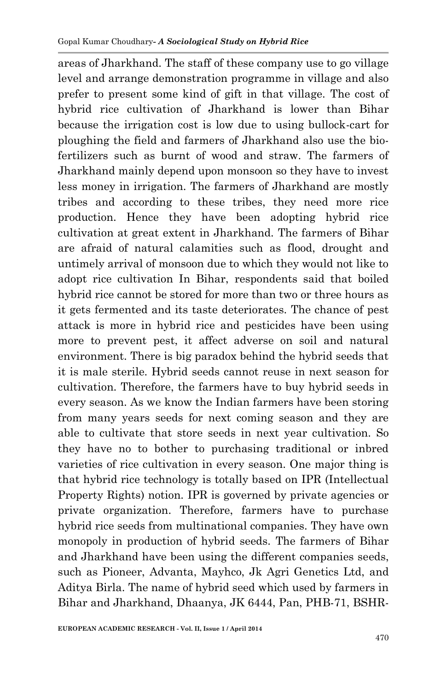areas of Jharkhand. The staff of these company use to go village level and arrange demonstration programme in village and also prefer to present some kind of gift in that village. The cost of hybrid rice cultivation of Jharkhand is lower than Bihar because the irrigation cost is low due to using bullock-cart for ploughing the field and farmers of Jharkhand also use the biofertilizers such as burnt of wood and straw. The farmers of Jharkhand mainly depend upon monsoon so they have to invest less money in irrigation. The farmers of Jharkhand are mostly tribes and according to these tribes, they need more rice production. Hence they have been adopting hybrid rice cultivation at great extent in Jharkhand. The farmers of Bihar are afraid of natural calamities such as flood, drought and untimely arrival of monsoon due to which they would not like to adopt rice cultivation In Bihar, respondents said that boiled hybrid rice cannot be stored for more than two or three hours as it gets fermented and its taste deteriorates. The chance of pest attack is more in hybrid rice and pesticides have been using more to prevent pest, it affect adverse on soil and natural environment. There is big paradox behind the hybrid seeds that it is male sterile. Hybrid seeds cannot reuse in next season for cultivation. Therefore, the farmers have to buy hybrid seeds in every season. As we know the Indian farmers have been storing from many years seeds for next coming season and they are able to cultivate that store seeds in next year cultivation. So they have no to bother to purchasing traditional or inbred varieties of rice cultivation in every season. One major thing is that hybrid rice technology is totally based on IPR (Intellectual Property Rights) notion. IPR is governed by private agencies or private organization. Therefore, farmers have to purchase hybrid rice seeds from multinational companies. They have own monopoly in production of hybrid seeds. The farmers of Bihar and Jharkhand have been using the different companies seeds, such as Pioneer, Advanta, Mayhco, Jk Agri Genetics Ltd, and Aditya Birla. The name of hybrid seed which used by farmers in Bihar and Jharkhand, Dhaanya, JK 6444, Pan, PHB-71, BSHR-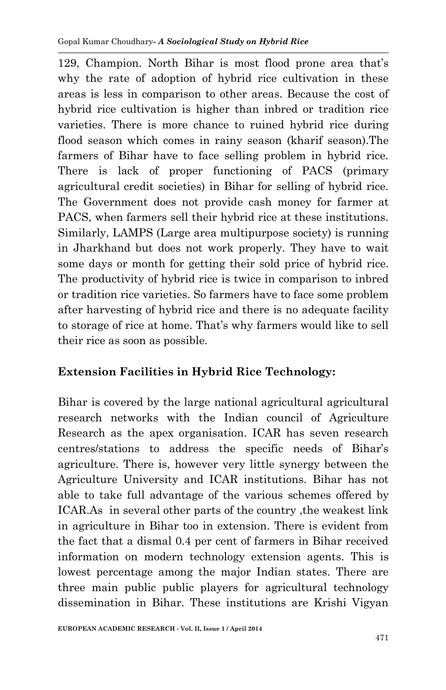129, Champion. North Bihar is most flood prone area that's why the rate of adoption of hybrid rice cultivation in these areas is less in comparison to other areas. Because the cost of hybrid rice cultivation is higher than inbred or tradition rice varieties. There is more chance to ruined hybrid rice during flood season which comes in rainy season (kharif season).The farmers of Bihar have to face selling problem in hybrid rice. There is lack of proper functioning of PACS (primary agricultural credit societies) in Bihar for selling of hybrid rice. The Government does not provide cash money for farmer at PACS, when farmers sell their hybrid rice at these institutions. Similarly, LAMPS (Large area multipurpose society) is running in Jharkhand but does not work properly. They have to wait some days or month for getting their sold price of hybrid rice. The productivity of hybrid rice is twice in comparison to inbred or tradition rice varieties. So farmers have to face some problem after harvesting of hybrid rice and there is no adequate facility to storage of rice at home. That's why farmers would like to sell their rice as soon as possible.

### **Extension Facilities in Hybrid Rice Technology:**

Bihar is covered by the large national agricultural agricultural research networks with the Indian council of Agriculture Research as the apex organisation. ICAR has seven research centres/stations to address the specific needs of Bihar's agriculture. There is, however very little synergy between the Agriculture University and ICAR institutions. Bihar has not able to take full advantage of the various schemes offered by ICAR.As in several other parts of the country ,the weakest link in agriculture in Bihar too in extension. There is evident from the fact that a dismal 0.4 per cent of farmers in Bihar received information on modern technology extension agents. This is lowest percentage among the major Indian states. There are three main public public players for agricultural technology dissemination in Bihar. These institutions are Krishi Vigyan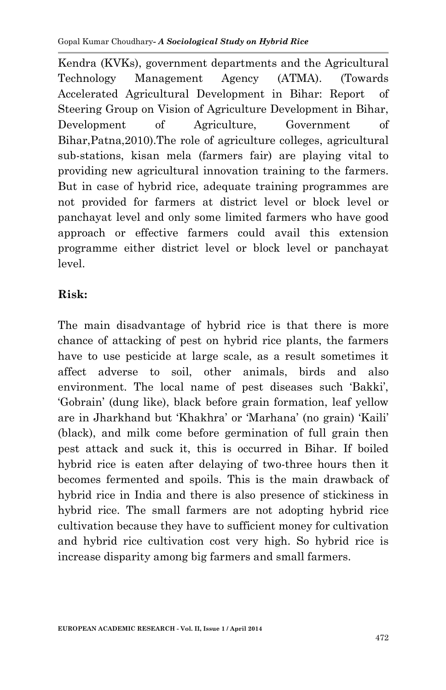Kendra (KVKs), government departments and the Agricultural Technology Management Agency (ATMA). (Towards Accelerated Agricultural Development in Bihar: Report of Steering Group on Vision of Agriculture Development in Bihar, Development of Agriculture, Government of Bihar,Patna,2010).The role of agriculture colleges, agricultural sub-stations, kisan mela (farmers fair) are playing vital to providing new agricultural innovation training to the farmers. But in case of hybrid rice, adequate training programmes are not provided for farmers at district level or block level or panchayat level and only some limited farmers who have good approach or effective farmers could avail this extension programme either district level or block level or panchayat level.

### **Risk:**

The main disadvantage of hybrid rice is that there is more chance of attacking of pest on hybrid rice plants, the farmers have to use pesticide at large scale, as a result sometimes it affect adverse to soil, other animals, birds and also environment. The local name of pest diseases such 'Bakki', 'Gobrain' (dung like), black before grain formation, leaf yellow are in Jharkhand but 'Khakhra' or 'Marhana' (no grain) 'Kaili' (black), and milk come before germination of full grain then pest attack and suck it, this is occurred in Bihar. If boiled hybrid rice is eaten after delaying of two-three hours then it becomes fermented and spoils. This is the main drawback of hybrid rice in India and there is also presence of stickiness in hybrid rice. The small farmers are not adopting hybrid rice cultivation because they have to sufficient money for cultivation and hybrid rice cultivation cost very high. So hybrid rice is increase disparity among big farmers and small farmers.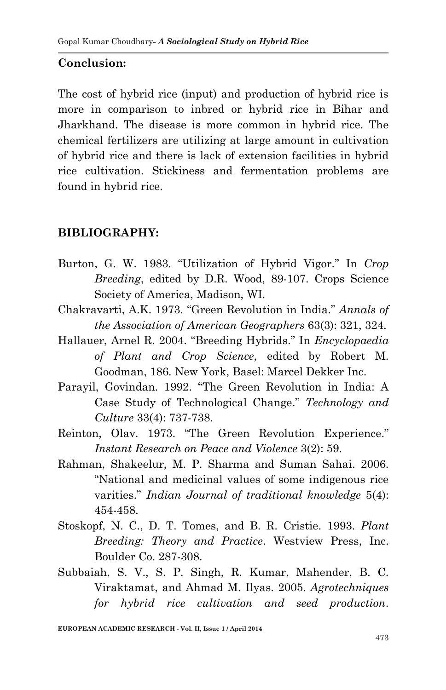### **Conclusion:**

The cost of hybrid rice (input) and production of hybrid rice is more in comparison to inbred or hybrid rice in Bihar and Jharkhand. The disease is more common in hybrid rice. The chemical fertilizers are utilizing at large amount in cultivation of hybrid rice and there is lack of extension facilities in hybrid rice cultivation. Stickiness and fermentation problems are found in hybrid rice.

### **BIBLIOGRAPHY:**

- Burton, G. W. 1983. "Utilization of Hybrid Vigor." In *Crop Breeding*, edited by D.R. Wood, 89-107. Crops Science Society of America, Madison, WI.
- Chakravarti, A.K. 1973. "Green Revolution in India." *Annals of the Association of American Geographers* 63(3): 321, 324.
- Hallauer, Arnel R. 2004. "Breeding Hybrids." In *Encyclopaedia of Plant and Crop Science,* edited by Robert M. Goodman, 186. New York, Basel: Marcel Dekker Inc.
- Parayil, Govindan. 1992. "The Green Revolution in India: A Case Study of Technological Change." *Technology and Culture* 33(4): 737-738.
- Reinton, Olav. 1973. "The Green Revolution Experience." *Instant Research on Peace and Violence* 3(2): 59.
- Rahman, Shakeelur, M. P. Sharma and Suman Sahai. 2006. "National and medicinal values of some indigenous rice varities." *Indian Journal of traditional knowledge* 5(4): 454-458.
- Stoskopf, N. C., D. T. Tomes, and B. R. Cristie. 1993. *Plant Breeding: Theory and Practice*. Westview Press, Inc. Boulder Co. 287-308.
- Subbaiah, S. V., S. P. Singh, R. Kumar, Mahender, B. C. Viraktamat, and Ahmad M. Ilyas. 2005. *Agrotechniques for hybrid rice cultivation and seed production*.